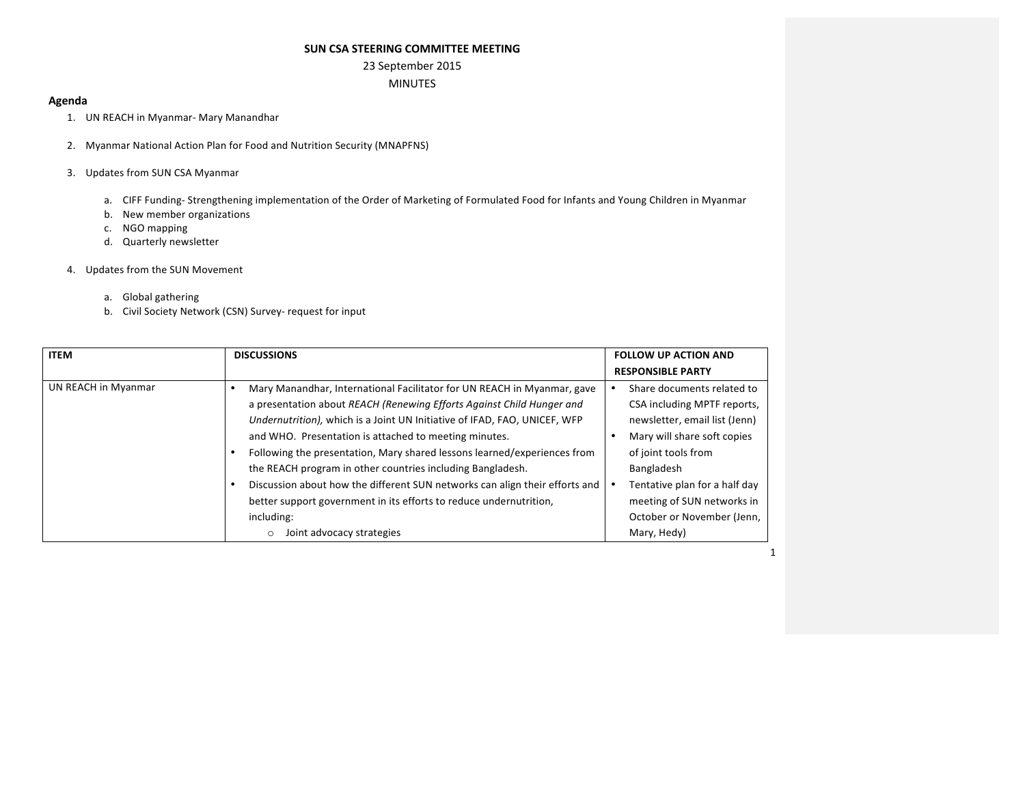#### **SUN CSA STEERING COMMITTEE MEETING**

# 23 September 2015

## MINUTES

#### **Agenda**

- 1. UN REACH in Myanmar- Mary Manandhar
- 2. Myanmar National Action Plan for Food and Nutrition Security (MNAPFNS)
- 3. Updates from SUN CSA Myanmar
	- a. CIFF Funding- Strengthening implementation of the Order of Marketing of Formulated Food for Infants and Young Children in Myanmar
	- b. New member organizations
	- c. NGO mapping
	- d. Quarterly newsletter

#### 4. Updates from the SUN Movement

- a. Global gathering
- b. Civil Society Network (CSN) Survey- request for input

| <b>ITEM</b>         | <b>DISCUSSIONS</b>                                                                                                                                                                                                                                                                                                                                                                                                                                                                                              | <b>FOLLOW UP ACTION AND</b>                                                                                                                                                                     |
|---------------------|-----------------------------------------------------------------------------------------------------------------------------------------------------------------------------------------------------------------------------------------------------------------------------------------------------------------------------------------------------------------------------------------------------------------------------------------------------------------------------------------------------------------|-------------------------------------------------------------------------------------------------------------------------------------------------------------------------------------------------|
|                     |                                                                                                                                                                                                                                                                                                                                                                                                                                                                                                                 | <b>RESPONSIBLE PARTY</b>                                                                                                                                                                        |
| UN REACH in Myanmar | Mary Manandhar, International Facilitator for UN REACH in Myanmar, gave<br>a presentation about REACH (Renewing Efforts Against Child Hunger and<br>Undernutrition), which is a Joint UN Initiative of IFAD, FAO, UNICEF, WFP<br>and WHO. Presentation is attached to meeting minutes.<br>Following the presentation, Mary shared lessons learned/experiences from<br>the REACH program in other countries including Bangladesh.<br>Discussion about how the different SUN networks can align their efforts and | Share documents related to<br>CSA including MPTF reports,<br>newsletter, email list (Jenn)<br>Mary will share soft copies<br>of joint tools from<br>Bangladesh<br>Tentative plan for a half day |
|                     | better support government in its efforts to reduce undernutrition,<br>including:<br>Joint advocacy strategies<br>$\circ$                                                                                                                                                                                                                                                                                                                                                                                        | meeting of SUN networks in<br>October or November (Jenn,<br>Mary, Hedy)                                                                                                                         |

1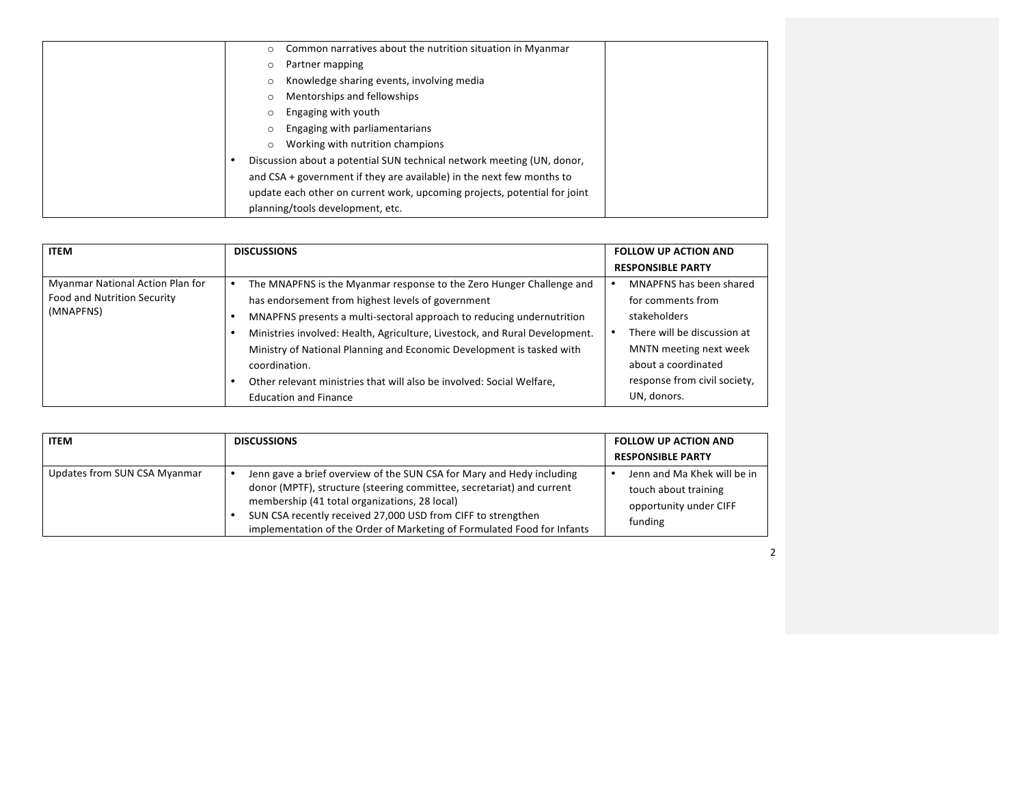| Common narratives about the nutrition situation in Myanmar<br>$\circ$     |
|---------------------------------------------------------------------------|
| Partner mapping<br>$\circ$                                                |
| Knowledge sharing events, involving media<br>$\circ$                      |
| Mentorships and fellowships<br>$\circ$                                    |
| Engaging with youth<br>$\circ$                                            |
| Engaging with parliamentarians<br>$\circ$                                 |
| Working with nutrition champions<br>$\circ$                               |
| Discussion about a potential SUN technical network meeting (UN, donor,    |
| and $CSA$ + government if they are available) in the next few months to   |
| update each other on current work, upcoming projects, potential for joint |
| planning/tools development, etc.                                          |

| <b>ITEM</b>                                                                  | <b>DISCUSSIONS</b>                                                                                                                                                                                                                                                                                                                                                                                                                                   | <b>FOLLOW UP ACTION AND</b>                                                                                                                                                  |
|------------------------------------------------------------------------------|------------------------------------------------------------------------------------------------------------------------------------------------------------------------------------------------------------------------------------------------------------------------------------------------------------------------------------------------------------------------------------------------------------------------------------------------------|------------------------------------------------------------------------------------------------------------------------------------------------------------------------------|
|                                                                              |                                                                                                                                                                                                                                                                                                                                                                                                                                                      | <b>RESPONSIBLE PARTY</b>                                                                                                                                                     |
| Myanmar National Action Plan for<br>Food and Nutrition Security<br>(MNAPFNS) | The MNAPFNS is the Myanmar response to the Zero Hunger Challenge and<br>has endorsement from highest levels of government<br>MNAPFNS presents a multi-sectoral approach to reducing undernutrition<br>Ministries involved: Health, Agriculture, Livestock, and Rural Development.<br>Ministry of National Planning and Economic Development is tasked with<br>coordination.<br>Other relevant ministries that will also be involved: Social Welfare, | MNAPFNS has been shared<br>for comments from<br>stakeholders<br>There will be discussion at<br>MNTN meeting next week<br>about a coordinated<br>response from civil society, |
|                                                                              | <b>Education and Finance</b>                                                                                                                                                                                                                                                                                                                                                                                                                         | UN, donors.                                                                                                                                                                  |

| <b>ITEM</b>                  | <b>DISCUSSIONS</b>                                                                                                                                                                                                                                                                                                                         | <b>FOLLOW UP ACTION AND</b><br><b>RESPONSIBLE PARTY</b>                                  |
|------------------------------|--------------------------------------------------------------------------------------------------------------------------------------------------------------------------------------------------------------------------------------------------------------------------------------------------------------------------------------------|------------------------------------------------------------------------------------------|
| Updates from SUN CSA Myanmar | Jenn gave a brief overview of the SUN CSA for Mary and Hedy including<br>donor (MPTF), structure (steering committee, secretariat) and current<br>membership (41 total organizations, 28 local)<br>SUN CSA recently received 27,000 USD from CIFF to strengthen<br>implementation of the Order of Marketing of Formulated Food for Infants | Jenn and Ma Khek will be in<br>touch about training<br>opportunity under CIFF<br>funding |

2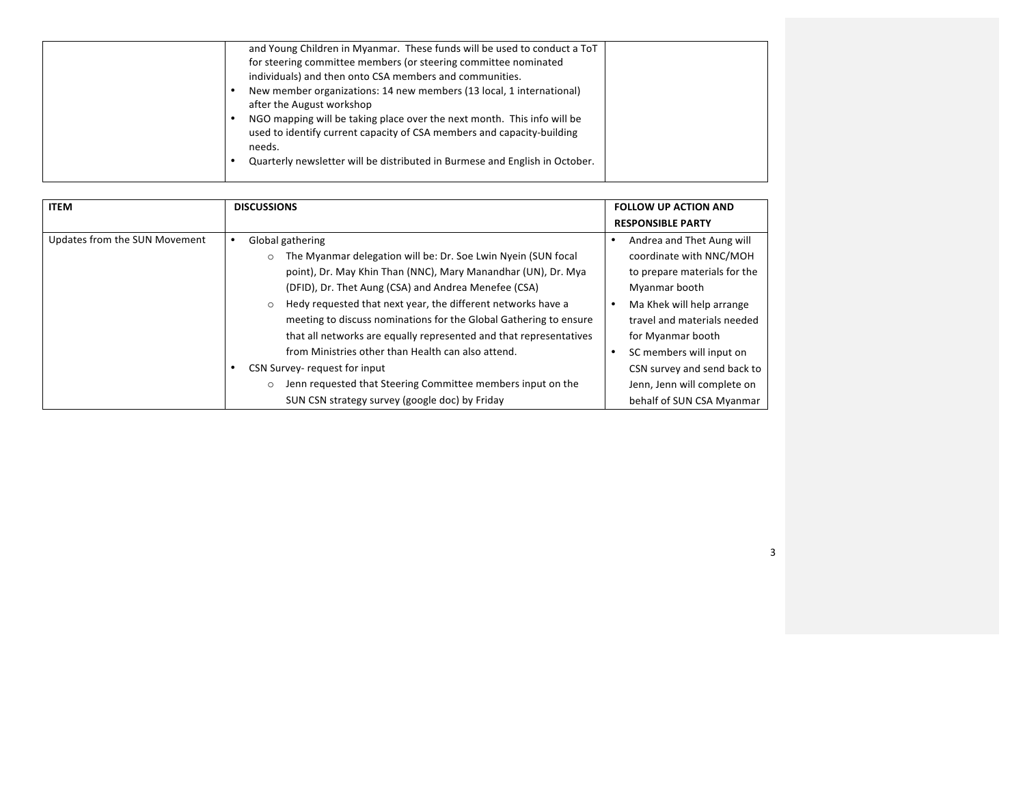| for steering committee members (or steering committee nominated<br>individuals) and then onto CSA members and communities.<br>New member organizations: 14 new members (13 local, 1 international)<br>after the August workshop<br>NGO mapping will be taking place over the next month. This info will be<br>used to identify current capacity of CSA members and capacity-building<br>needs.<br>Quarterly newsletter will be distributed in Burmese and English in October. |
|-------------------------------------------------------------------------------------------------------------------------------------------------------------------------------------------------------------------------------------------------------------------------------------------------------------------------------------------------------------------------------------------------------------------------------------------------------------------------------|
|-------------------------------------------------------------------------------------------------------------------------------------------------------------------------------------------------------------------------------------------------------------------------------------------------------------------------------------------------------------------------------------------------------------------------------------------------------------------------------|

| <b>ITEM</b>                   | <b>DISCUSSIONS</b>                                                      | <b>FOLLOW UP ACTION AND</b>  |
|-------------------------------|-------------------------------------------------------------------------|------------------------------|
|                               |                                                                         | <b>RESPONSIBLE PARTY</b>     |
| Updates from the SUN Movement | Global gathering                                                        | Andrea and Thet Aung will    |
|                               | The Myanmar delegation will be: Dr. Soe Lwin Nyein (SUN focal           | coordinate with NNC/MOH      |
|                               | point), Dr. May Khin Than (NNC), Mary Manandhar (UN), Dr. Mya           | to prepare materials for the |
|                               | (DFID), Dr. Thet Aung (CSA) and Andrea Menefee (CSA)                    | Myanmar booth                |
|                               | Hedy requested that next year, the different networks have a<br>$\circ$ | Ma Khek will help arrange    |
|                               | meeting to discuss nominations for the Global Gathering to ensure       | travel and materials needed  |
|                               | that all networks are equally represented and that representatives      | for Myanmar booth            |
|                               | from Ministries other than Health can also attend.                      | SC members will input on     |
|                               | CSN Survey- request for input                                           | CSN survey and send back to  |
|                               | Jenn requested that Steering Committee members input on the<br>$\Omega$ | Jenn, Jenn will complete on  |
|                               | SUN CSN strategy survey (google doc) by Friday                          | behalf of SUN CSA Myanmar    |

3